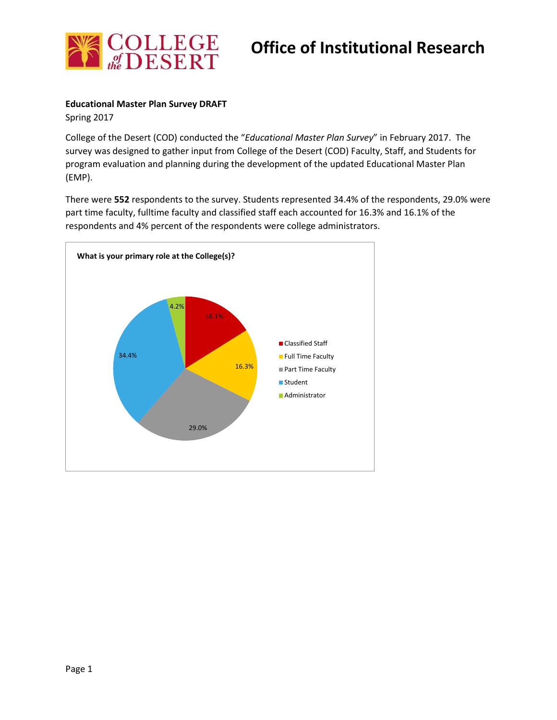

# **Office of Institutional Research**

### **Educational Master Plan Survey DRAFT**

Spring 2017

College of the Desert (COD) conducted the "*Educational Master Plan Survey*" in February 2017. The survey was designed to gather input from College of the Desert (COD) Faculty, Staff, and Students for program evaluation and planning during the development of the updated Educational Master Plan (EMP).

There were **552** respondents to the survey. Students represented 34.4% of the respondents, 29.0% were part time faculty, fulltime faculty and classified staff each accounted for 16.3% and 16.1% of the respondents and 4% percent of the respondents were college administrators.

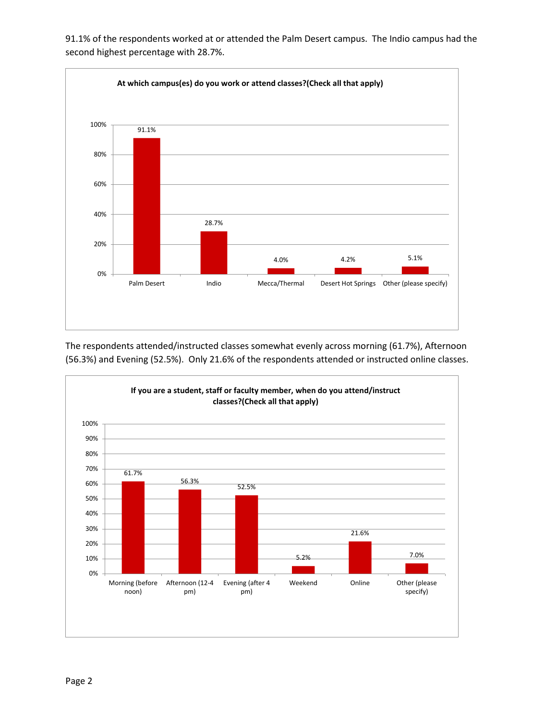

91.1% of the respondents worked at or attended the Palm Desert campus. The Indio campus had the second highest percentage with 28.7%.

The respondents attended/instructed classes somewhat evenly across morning (61.7%), Afternoon (56.3%) and Evening (52.5%). Only 21.6% of the respondents attended or instructed online classes.

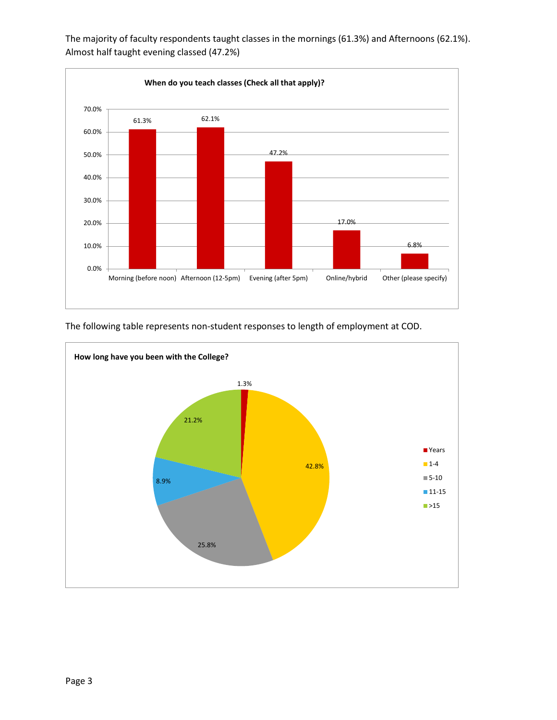

The majority of faculty respondents taught classes in the mornings (61.3%) and Afternoons (62.1%). Almost half taught evening classed (47.2%)

The following table represents non-student responses to length of employment at COD.

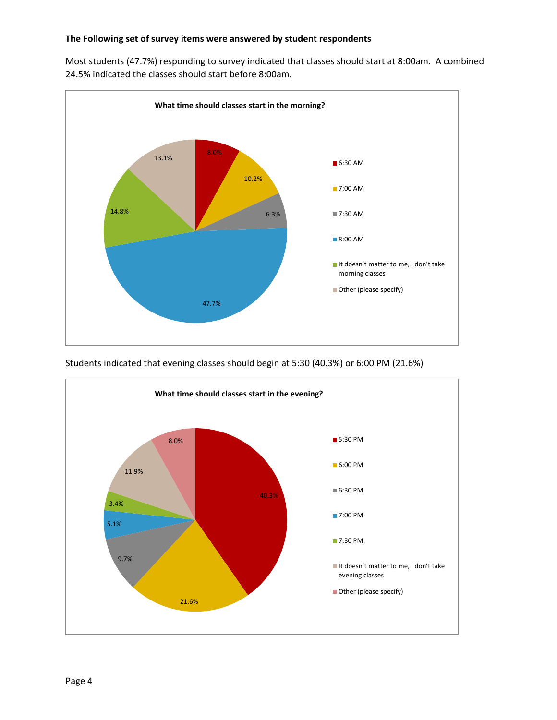#### **The Following set of survey items were answered by student respondents**

Most students (47.7%) responding to survey indicated that classes should start at 8:00am. A combined 24.5% indicated the classes should start before 8:00am.



Students indicated that evening classes should begin at 5:30 (40.3%) or 6:00 PM (21.6%)

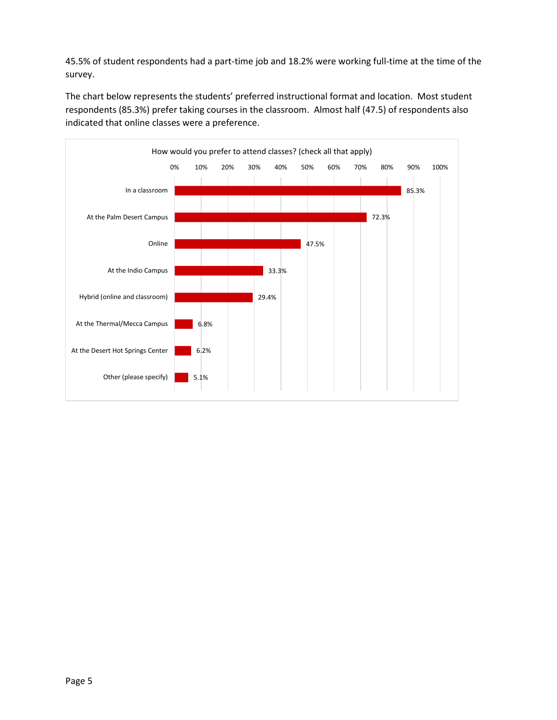45.5% of student respondents had a part-time job and 18.2% were working full-time at the time of the survey.

The chart below represents the students' preferred instructional format and location. Most student respondents (85.3%) prefer taking courses in the classroom. Almost half (47.5) of respondents also indicated that online classes were a preference.

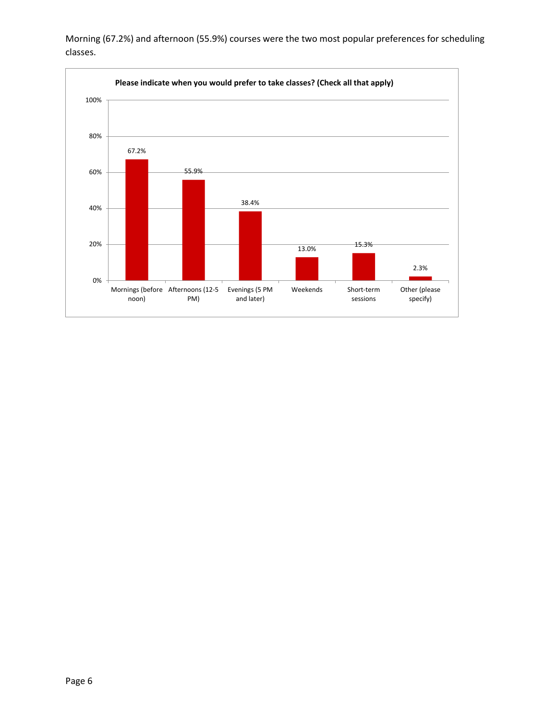

Evenings (5 PM and later)

13.0% 15.3%

Weekends Short-term

sessions

2.3%

Other (please specify)

Morning (67.2%) and afternoon (55.9%) courses were the two most popular preferences for scheduling classes.

0%

Mornings (before Afternoons (12-5

PM)

noon)

20%

40%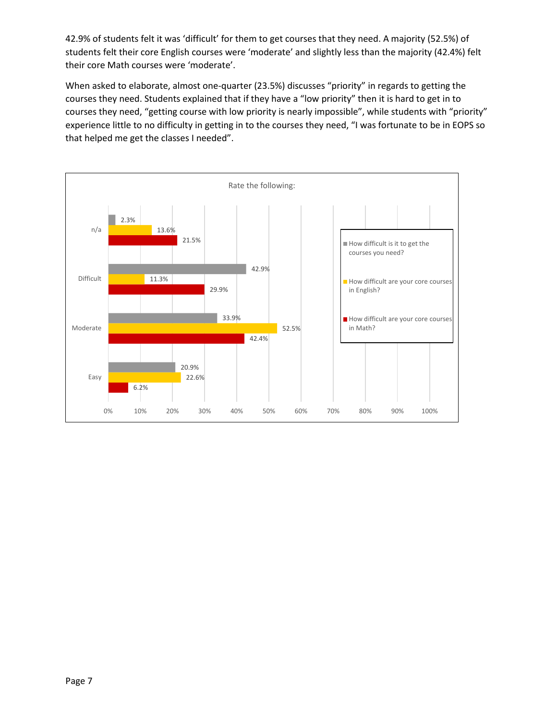42.9% of students felt it was 'difficult' for them to get courses that they need. A majority (52.5%) of students felt their core English courses were 'moderate' and slightly less than the majority (42.4%) felt their core Math courses were 'moderate'.

When asked to elaborate, almost one-quarter (23.5%) discusses "priority" in regards to getting the courses they need. Students explained that if they have a "low priority" then it is hard to get in to courses they need, "getting course with low priority is nearly impossible", while students with "priority" experience little to no difficulty in getting in to the courses they need, "I was fortunate to be in EOPS so that helped me get the classes I needed".

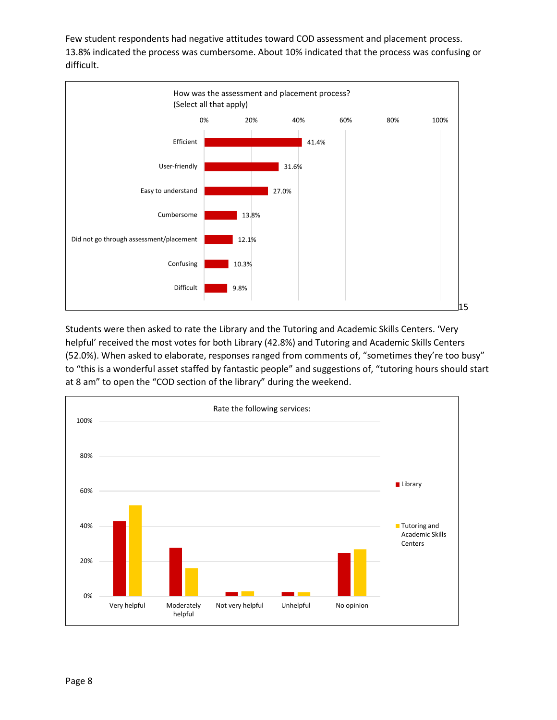Few student respondents had negative attitudes toward COD assessment and placement process. 13.8% indicated the process was cumbersome. About 10% indicated that the process was confusing or difficult.



Students were then asked to rate the Library and the Tutoring and Academic Skills Centers. 'Very helpful' received the most votes for both Library (42.8%) and Tutoring and Academic Skills Centers (52.0%). When asked to elaborate, responses ranged from comments of, "sometimes they're too busy" to "this is a wonderful asset staffed by fantastic people" and suggestions of, "tutoring hours should start at 8 am" to open the "COD section of the library" during the weekend.

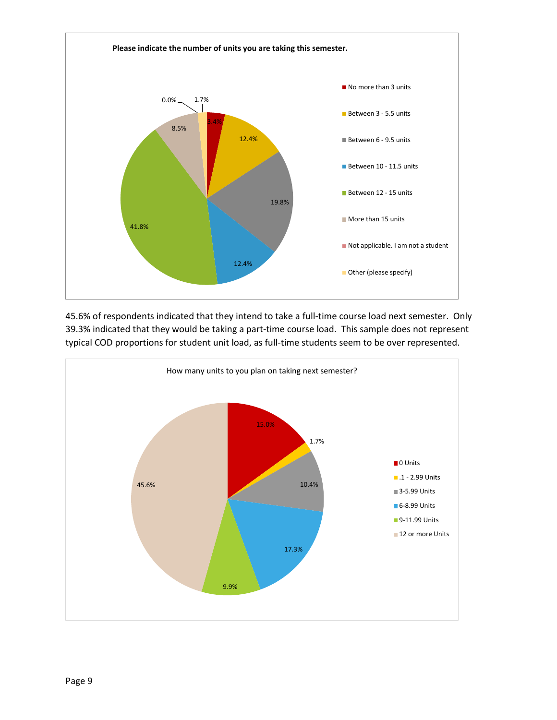

45.6% of respondents indicated that they intend to take a full-time course load next semester. Only 39.3% indicated that they would be taking a part-time course load. This sample does not represent typical COD proportions for student unit load, as full-time students seem to be over represented.

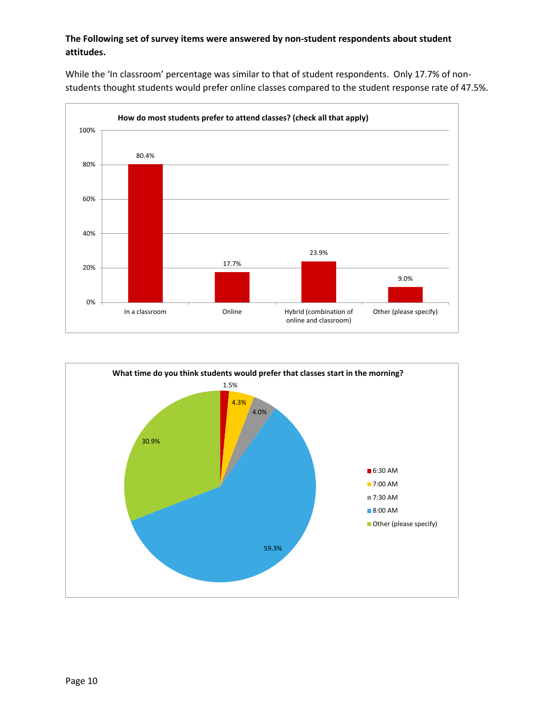## **The Following set of survey items were answered by non-student respondents about student attitudes.**

While the 'In classroom' percentage was similar to that of student respondents. Only 17.7% of nonstudents thought students would prefer online classes compared to the student response rate of 47.5%.



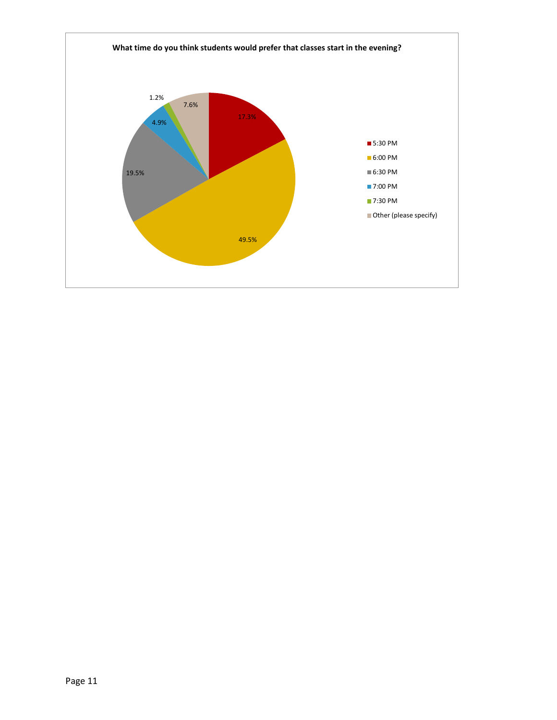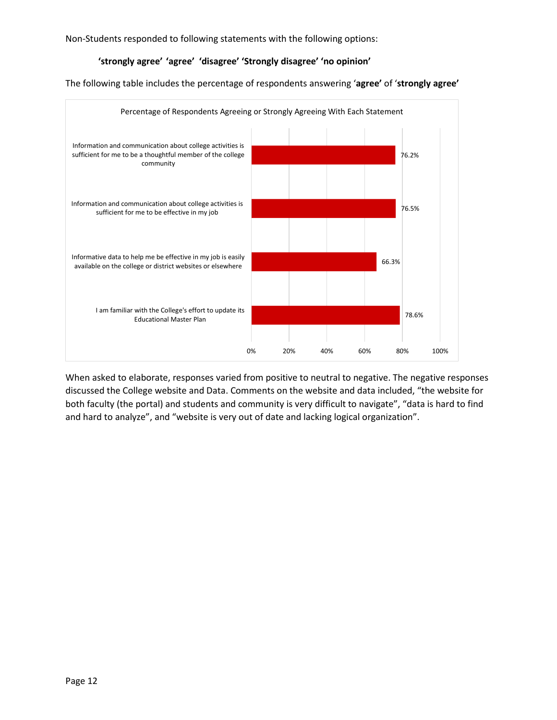Non-Students responded to following statements with the following options:

#### **'strongly agree' 'agree' 'disagree' 'Strongly disagree' 'no opinion'**

The following table includes the percentage of respondents answering '**agree'** of '**strongly agree'**



When asked to elaborate, responses varied from positive to neutral to negative. The negative responses discussed the College website and Data. Comments on the website and data included, "the website for both faculty (the portal) and students and community is very difficult to navigate", "data is hard to find and hard to analyze", and "website is very out of date and lacking logical organization".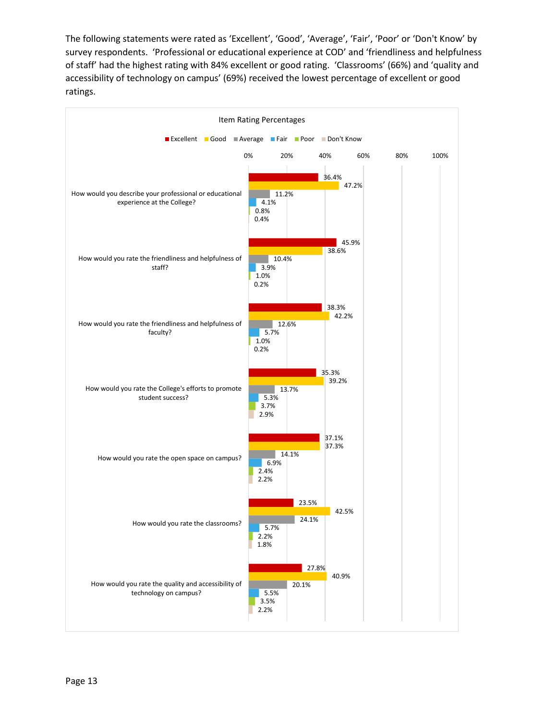The following statements were rated as 'Excellent', 'Good', 'Average', 'Fair', 'Poor' or 'Don't Know' by survey respondents. 'Professional or educational experience at COD' and 'friendliness and helpfulness of staff' had the highest rating with 84% excellent or good rating. 'Classrooms' (66%) and 'quality and accessibility of technology on campus' (69%) received the lowest percentage of excellent or good ratings.

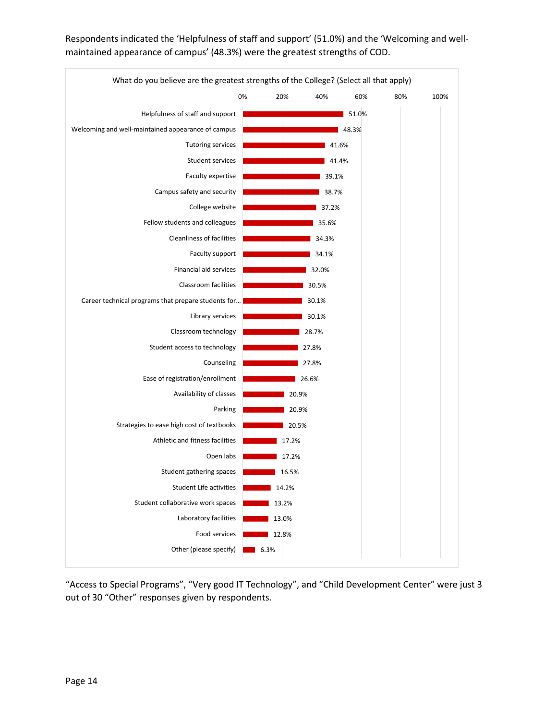

Respondents indicated the 'Helpfulness of staff and support' (51.0%) and the 'Welcoming and wellmaintained appearance of campus' (48.3%) were the greatest strengths of COD.

"Access to Special Programs", "Very good IT Technology", and "Child Development Center" were just 3 out of 30 "Other" responses given by respondents.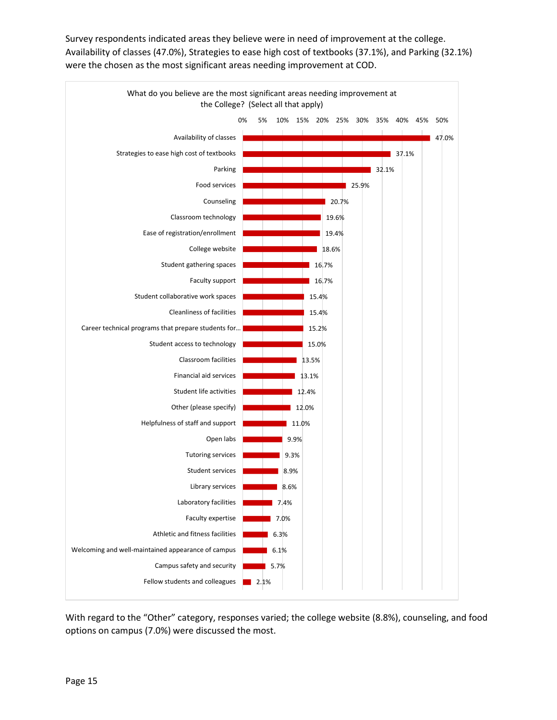Survey respondents indicated areas they believe were in need of improvement at the college. Availability of classes (47.0%), Strategies to ease high cost of textbooks (37.1%), and Parking (32.1%) were the chosen as the most significant areas needing improvement at COD.



With regard to the "Other" category, responses varied; the college website (8.8%), counseling, and food options on campus (7.0%) were discussed the most.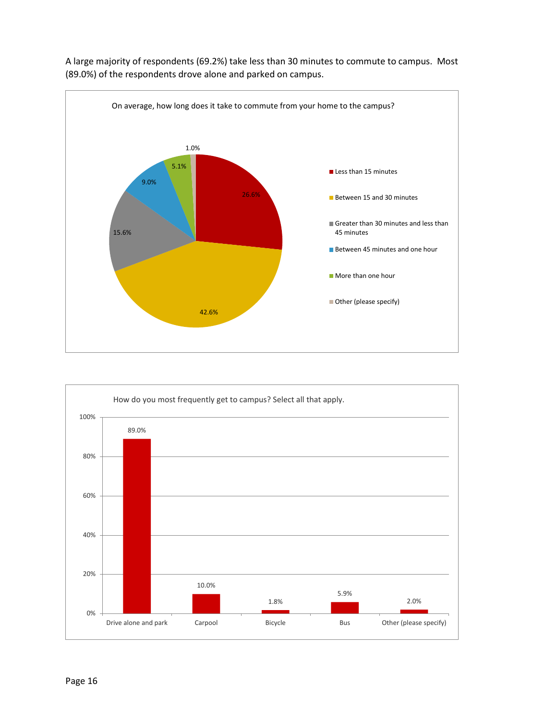

A large majority of respondents (69.2%) take less than 30 minutes to commute to campus. Most (89.0%) of the respondents drove alone and parked on campus.